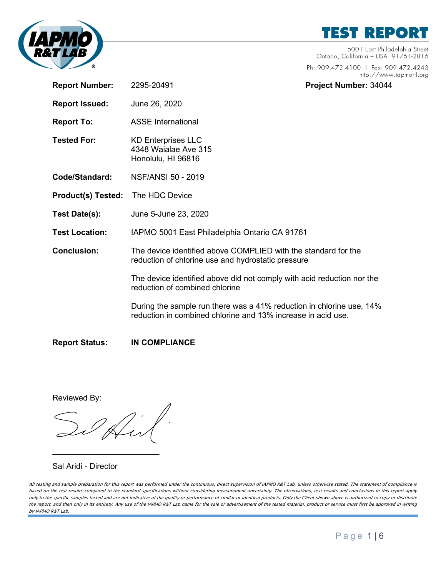

**TEST REPORT** 

5001 East Philadelphia Street Ontario, California - USA 91761-2816

Ph: 909.472.4100 | Fax: 909.472.4243 http://www.iapmortl.org

| <b>Report Number:</b>     | 2295-20491                                                                                                                           | Project Number: 34044 |
|---------------------------|--------------------------------------------------------------------------------------------------------------------------------------|-----------------------|
| <b>Report Issued:</b>     | June 26, 2020                                                                                                                        |                       |
| <b>Report To:</b>         | <b>ASSE International</b>                                                                                                            |                       |
| <b>Tested For:</b>        | <b>KD Enterprises LLC</b><br>4348 Waialae Ave 315<br>Honolulu, HI 96816                                                              |                       |
| Code/Standard:            | <b>NSF/ANSI 50 - 2019</b>                                                                                                            |                       |
| <b>Product(s) Tested:</b> | The HDC Device                                                                                                                       |                       |
| Test Date(s):             | June 5-June 23, 2020                                                                                                                 |                       |
| <b>Test Location:</b>     | IAPMO 5001 East Philadelphia Ontario CA 91761                                                                                        |                       |
| <b>Conclusion:</b>        | The device identified above COMPLIED with the standard for the<br>reduction of chlorine use and hydrostatic pressure                 |                       |
|                           | The device identified above did not comply with acid reduction nor the<br>reduction of combined chlorine                             |                       |
|                           | During the sample run there was a 41% reduction in chlorine use, 14%<br>reduction in combined chlorine and 13% increase in acid use. |                       |
| <b>Report Status:</b>     | <b>IN COMPLIANCE</b>                                                                                                                 |                       |

Reviewed By:

 $\overline{\phantom{a}}$  , where  $\overline{\phantom{a}}$  , where  $\overline{\phantom{a}}$  , where  $\overline{\phantom{a}}$ 

Sal Aridi - Director

All testing and sample preparation for this report was performed under the continuous, direct supervision of IAPMO R&T Lab, unless otherwise stated. The statement of compliance is based on the test results compared to the standard specifications without considering measurement uncertainty. The observations, test results and conclusions in this report apply only to the specific samples tested and are not indicative of the quality or performance of similar or identical products. Only the Client shown above is authorized to copy or distribute the report, and then only in its entirety. Any use of the IAPMO R&T Lab name for the sale or advertisement of the tested material, product or service must first be approved in writing by IAPMO R&T Lab.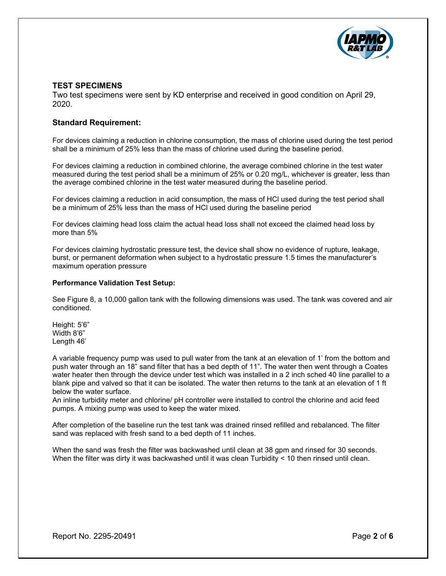

## **TEST SPECIMENS**

Two test specimens were sent by KD enterprise and received in good condition on April 29, 2020.

#### **Standard Requirement:**

For devices claiming a reduction in chlorine consumption, the mass of chlorine used during the test period shall be a minimum of 25% less than the mass of chlorine used during the baseline period.

For devices claiming a reduction in combined chlorine, the average combined chlorine in the test water measured during the test period shall be a minimum of 25% or 0.20 mg/L, whichever is greater, less than the average combined chlorine in the test water measured during the baseline period.

For devices claiming a reduction in acid consumption, the mass of HCl used during the test period shall be a minimum of 25% less than the mass of HCl used during the baseline period

For devices claiming head loss claim the actual head loss shall not exceed the claimed head loss by more than 5%

For devices claiming hydrostatic pressure test, the device shall show no evidence of rupture, leakage, burst, or permanent deformation when subject to a hydrostatic pressure 1.5 times the manufacturer's maximum operation pressure

#### **Performance Validation Test Setup:**

See Figure 8, a 10,000 gallon tank with the following dimensions was used. The tank was covered and air conditioned.

Height: 5'6" Width 8'6" Length 46'

A variable frequency pump was used to pull water from the tank at an elevation of 1' from the bottom and push water through an 18" sand filter that has a bed depth of 11". The water then went through a Coates water heater then through the device under test which was installed in a 2 inch sched 40 line parallel to a blank pipe and valved so that it can be isolated. The water then returns to the tank at an elevation of 1 ft below the water surface.

An inline turbidity meter and chlorine/ pH controller were installed to control the chlorine and acid feed pumps. A mixing pump was used to keep the water mixed.

After completion of the baseline run the test tank was drained rinsed refilled and rebalanced. The filter sand was replaced with fresh sand to a bed depth of 11 inches.

When the sand was fresh the filter was backwashed until clean at 38 gpm and rinsed for 30 seconds. When the filter was dirty it was backwashed until it was clean Turbidity < 10 then rinsed until clean.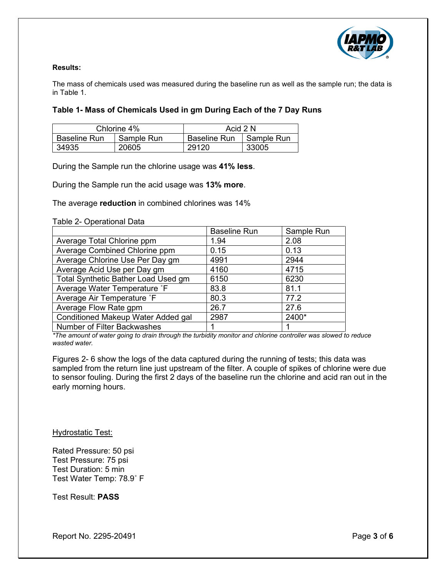

### **Results:**

The mass of chemicals used was measured during the baseline run as well as the sample run; the data is in Table 1.

## **Table 1- Mass of Chemicals Used in gm During Each of the 7 Day Runs**

| Chlorine 4%  |            | Acid 2 N     |              |  |
|--------------|------------|--------------|--------------|--|
| Baseline Run | Sample Run | Baseline Run | l Sample Run |  |
| 34935        | 20605      | 29120        | 33005        |  |

During the Sample run the chlorine usage was **41% less**.

During the Sample run the acid usage was **13% more**.

The average **reduction** in combined chlorines was 14%

#### Table 2- Operational Data

|                                     | <b>Baseline Run</b> | Sample Run |
|-------------------------------------|---------------------|------------|
| Average Total Chlorine ppm          | 1.94                | 2.08       |
| Average Combined Chlorine ppm       | 0.15                | 0.13       |
| Average Chlorine Use Per Day gm     | 4991                | 2944       |
| Average Acid Use per Day gm         | 4160                | 4715       |
| Total Synthetic Bather Load Used gm | 6150                | 6230       |
| Average Water Temperature °F        | 83.8                | 81.1       |
| Average Air Temperature °F          | 80.3                | 77.2       |
| Average Flow Rate gpm               | 26.7                | 27.6       |
| Conditioned Makeup Water Added gal  | 2987                | 2400*      |
| Number of Filter Backwashes         |                     |            |

*\*The amount of water going to drain through the turbidity monitor and chlorine controller was slowed to reduce wasted water.*

Figures 2- 6 show the logs of the data captured during the running of tests; this data was sampled from the return line just upstream of the filter. A couple of spikes of chlorine were due to sensor fouling. During the first 2 days of the baseline run the chlorine and acid ran out in the early morning hours.

Hydrostatic Test:

Rated Pressure: 50 psi Test Pressure: 75 psi Test Duration: 5 min Test Water Temp: 78.9˚ F

Test Result: **PASS**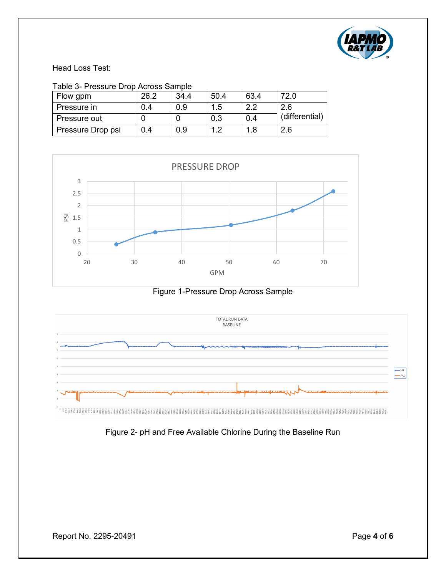

# **Head Loss Test:**

| Flow gpm          | 26.2 | 34.4 | 50.4 | 63.4 | 72.0           |
|-------------------|------|------|------|------|----------------|
| Pressure in       | 0.4  | 0.9  | 1.5  | 2.2  | 2.6            |
| Pressure out      |      |      | 0.3  | 0.4  | (differential) |
| Pressure Drop psi | 0.4  | 0.9  |      | 1.8  | 2.6            |







Figure 2- pH and Free Available Chlorine During the Baseline Run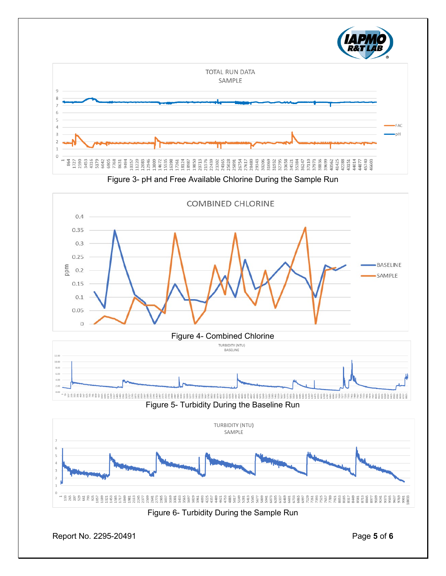







Figure 6- Turbidity During the Sample Run

Report No. 2295-20491 Page **5** of **6**